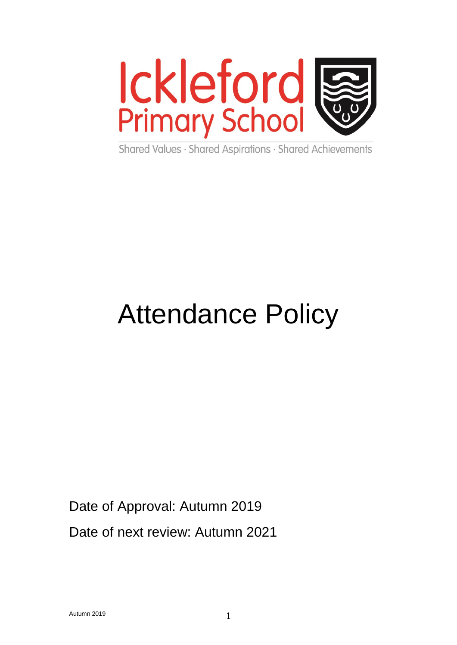

Shared Values · Shared Aspirations · Shared Achievements

# Attendance Policy

# Date of Approval: Autumn 2019

Date of next review: Autumn 2021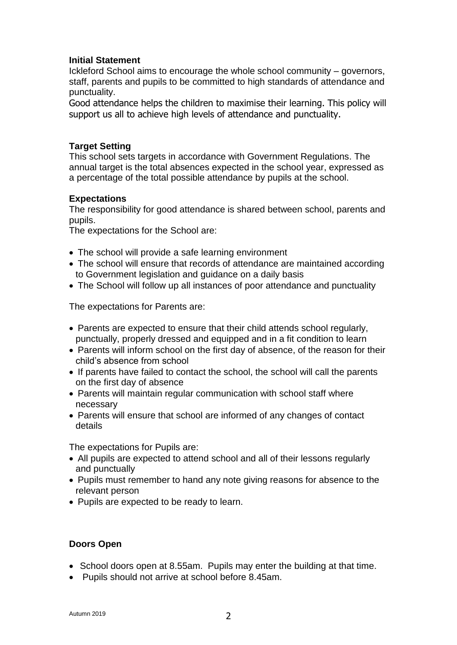#### **Initial Statement**

Ickleford School aims to encourage the whole school community – governors, staff, parents and pupils to be committed to high standards of attendance and punctuality.

Good attendance helps the children to maximise their learning. This policy will support us all to achieve high levels of attendance and punctuality.

# **Target Setting**

This school sets targets in accordance with Government Regulations. The annual target is the total absences expected in the school year, expressed as a percentage of the total possible attendance by pupils at the school.

# **Expectations**

The responsibility for good attendance is shared between school, parents and pupils.

The expectations for the School are:

- The school will provide a safe learning environment
- The school will ensure that records of attendance are maintained according to Government legislation and guidance on a daily basis
- The School will follow up all instances of poor attendance and punctuality

The expectations for Parents are:

- Parents are expected to ensure that their child attends school regularly, punctually, properly dressed and equipped and in a fit condition to learn
- Parents will inform school on the first day of absence, of the reason for their child's absence from school
- If parents have failed to contact the school, the school will call the parents on the first day of absence
- Parents will maintain regular communication with school staff where necessary
- Parents will ensure that school are informed of any changes of contact details

The expectations for Pupils are:

- All pupils are expected to attend school and all of their lessons regularly and punctually
- Pupils must remember to hand any note giving reasons for absence to the relevant person
- Pupils are expected to be ready to learn.

#### **Doors Open**

- School doors open at 8.55am. Pupils may enter the building at that time.
- Pupils should not arrive at school before 8.45am.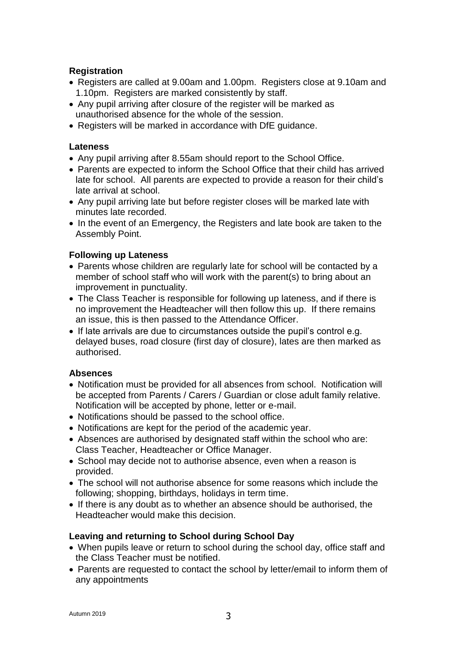# **Registration**

- Registers are called at 9.00am and 1.00pm. Registers close at 9.10am and 1.10pm. Registers are marked consistently by staff.
- Any pupil arriving after closure of the register will be marked as unauthorised absence for the whole of the session.
- Registers will be marked in accordance with DfE guidance.

# **Lateness**

- Any pupil arriving after 8.55am should report to the School Office.
- Parents are expected to inform the School Office that their child has arrived late for school. All parents are expected to provide a reason for their child's late arrival at school.
- Any pupil arriving late but before register closes will be marked late with minutes late recorded.
- In the event of an Emergency, the Registers and late book are taken to the Assembly Point.

# **Following up Lateness**

- Parents whose children are regularly late for school will be contacted by a member of school staff who will work with the parent(s) to bring about an improvement in punctuality.
- The Class Teacher is responsible for following up lateness, and if there is no improvement the Headteacher will then follow this up. If there remains an issue, this is then passed to the Attendance Officer.
- If late arrivals are due to circumstances outside the pupil's control e.g. delayed buses, road closure (first day of closure), lates are then marked as authorised.

#### **Absences**

- Notification must be provided for all absences from school. Notification will be accepted from Parents / Carers / Guardian or close adult family relative. Notification will be accepted by phone, letter or e-mail.
- Notifications should be passed to the school office.
- Notifications are kept for the period of the academic year.
- Absences are authorised by designated staff within the school who are: Class Teacher, Headteacher or Office Manager.
- School may decide not to authorise absence, even when a reason is provided.
- The school will not authorise absence for some reasons which include the following; shopping, birthdays, holidays in term time.
- If there is any doubt as to whether an absence should be authorised, the Headteacher would make this decision.

#### **Leaving and returning to School during School Day**

- When pupils leave or return to school during the school day, office staff and the Class Teacher must be notified.
- Parents are requested to contact the school by letter/email to inform them of any appointments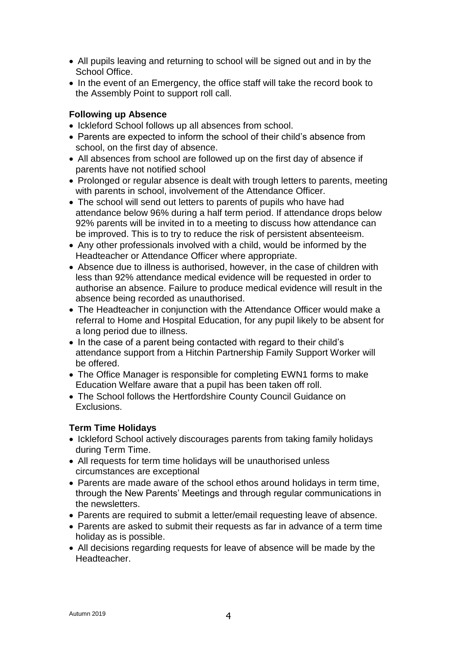- All pupils leaving and returning to school will be signed out and in by the School Office.
- In the event of an Emergency, the office staff will take the record book to the Assembly Point to support roll call.

# **Following up Absence**

- Ickleford School follows up all absences from school.
- Parents are expected to inform the school of their child's absence from school, on the first day of absence.
- All absences from school are followed up on the first day of absence if parents have not notified school
- Prolonged or regular absence is dealt with trough letters to parents, meeting with parents in school, involvement of the Attendance Officer.
- The school will send out letters to parents of pupils who have had attendance below 96% during a half term period. If attendance drops below 92% parents will be invited in to a meeting to discuss how attendance can be improved. This is to try to reduce the risk of persistent absenteeism.
- Any other professionals involved with a child, would be informed by the Headteacher or Attendance Officer where appropriate.
- Absence due to illness is authorised, however, in the case of children with less than 92% attendance medical evidence will be requested in order to authorise an absence. Failure to produce medical evidence will result in the absence being recorded as unauthorised.
- The Headteacher in conjunction with the Attendance Officer would make a referral to Home and Hospital Education, for any pupil likely to be absent for a long period due to illness.
- In the case of a parent being contacted with regard to their child's attendance support from a Hitchin Partnership Family Support Worker will be offered.
- The Office Manager is responsible for completing EWN1 forms to make Education Welfare aware that a pupil has been taken off roll.
- The School follows the Hertfordshire County Council Guidance on Exclusions.

# **Term Time Holidays**

- Ickleford School actively discourages parents from taking family holidays during Term Time.
- All requests for term time holidays will be unauthorised unless circumstances are exceptional
- Parents are made aware of the school ethos around holidays in term time, through the New Parents' Meetings and through regular communications in the newsletters.
- Parents are required to submit a letter/email requesting leave of absence.
- Parents are asked to submit their requests as far in advance of a term time holiday as is possible.
- All decisions regarding requests for leave of absence will be made by the Headteacher.